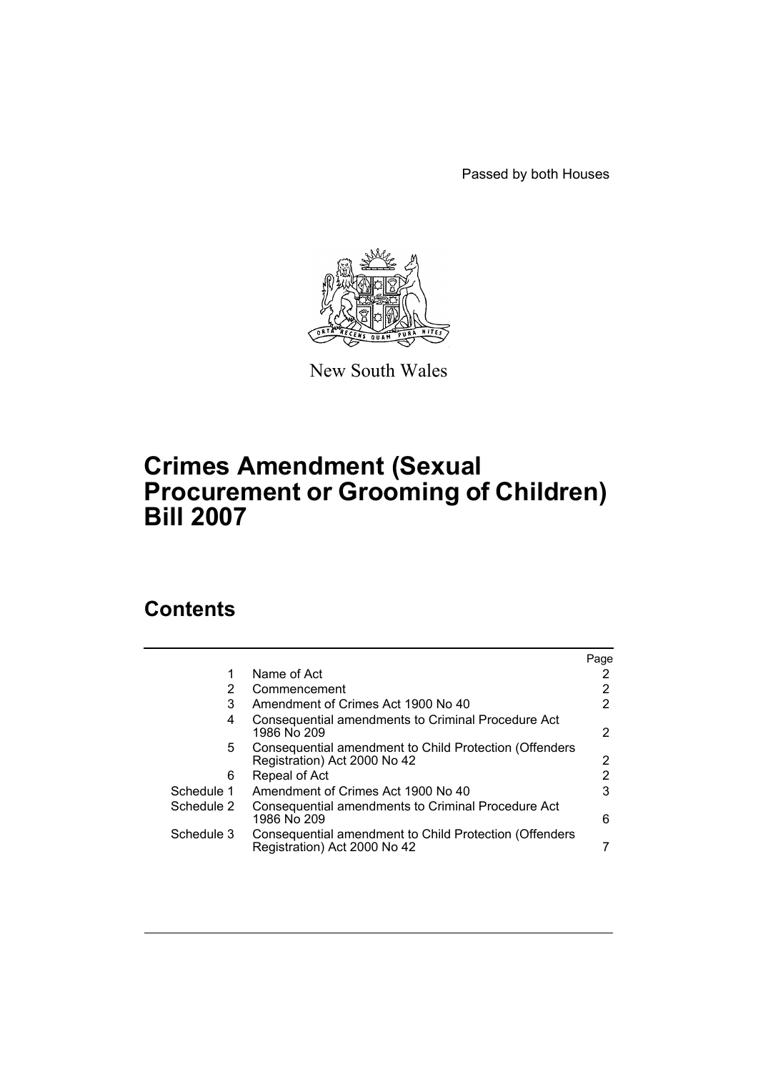Passed by both Houses



New South Wales

## **Crimes Amendment (Sexual Procurement or Grooming of Children) Bill 2007**

## **Contents**

|            |                                                                                        | Page |
|------------|----------------------------------------------------------------------------------------|------|
|            | Name of Act                                                                            |      |
| 2          | Commencement                                                                           |      |
| 3          | Amendment of Crimes Act 1900 No 40                                                     |      |
| 4          | Consequential amendments to Criminal Procedure Act<br>1986 No 209                      | 2    |
| 5.         | Consequential amendment to Child Protection (Offenders<br>Registration) Act 2000 No 42 | 2    |
| 6          | Repeal of Act                                                                          |      |
| Schedule 1 | Amendment of Crimes Act 1900 No 40                                                     | 3    |
| Schedule 2 | Consequential amendments to Criminal Procedure Act<br>1986 No 209                      | 6    |
| Schedule 3 | Consequential amendment to Child Protection (Offenders<br>Registration) Act 2000 No 42 |      |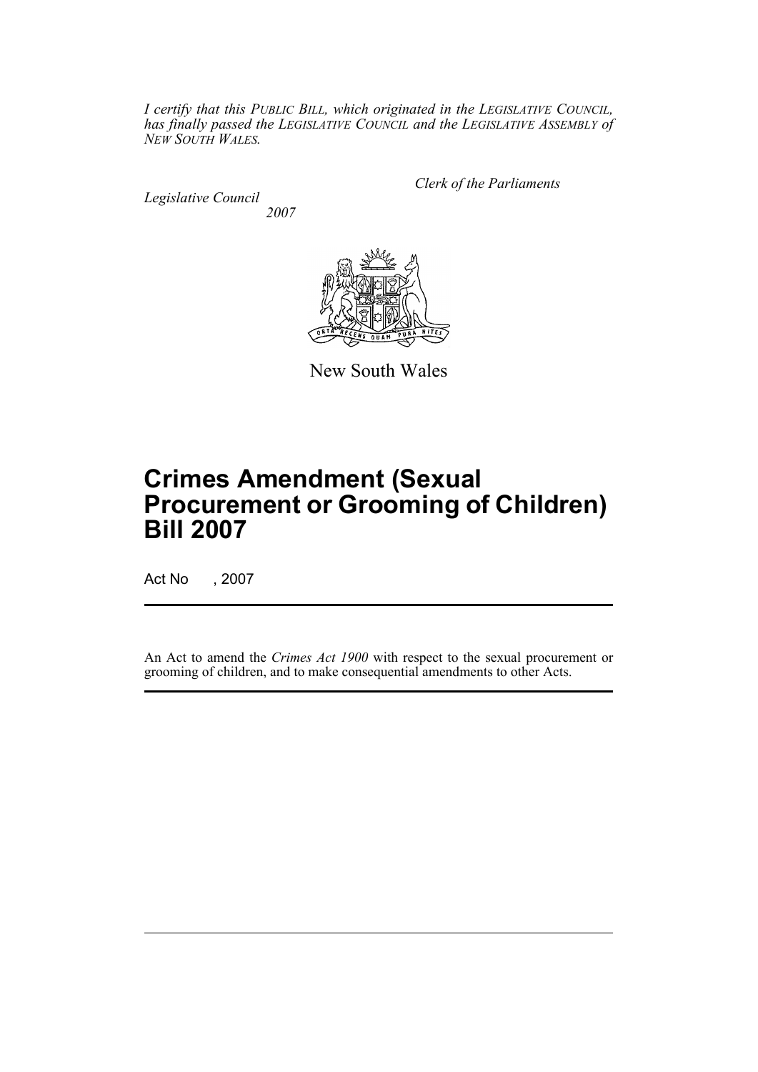*I certify that this PUBLIC BILL, which originated in the LEGISLATIVE COUNCIL, has finally passed the LEGISLATIVE COUNCIL and the LEGISLATIVE ASSEMBLY of NEW SOUTH WALES.*

*Legislative Council 2007* *Clerk of the Parliaments*



New South Wales

# **Crimes Amendment (Sexual Procurement or Grooming of Children) Bill 2007**

Act No , 2007

An Act to amend the *Crimes Act 1900* with respect to the sexual procurement or grooming of children, and to make consequential amendments to other Acts.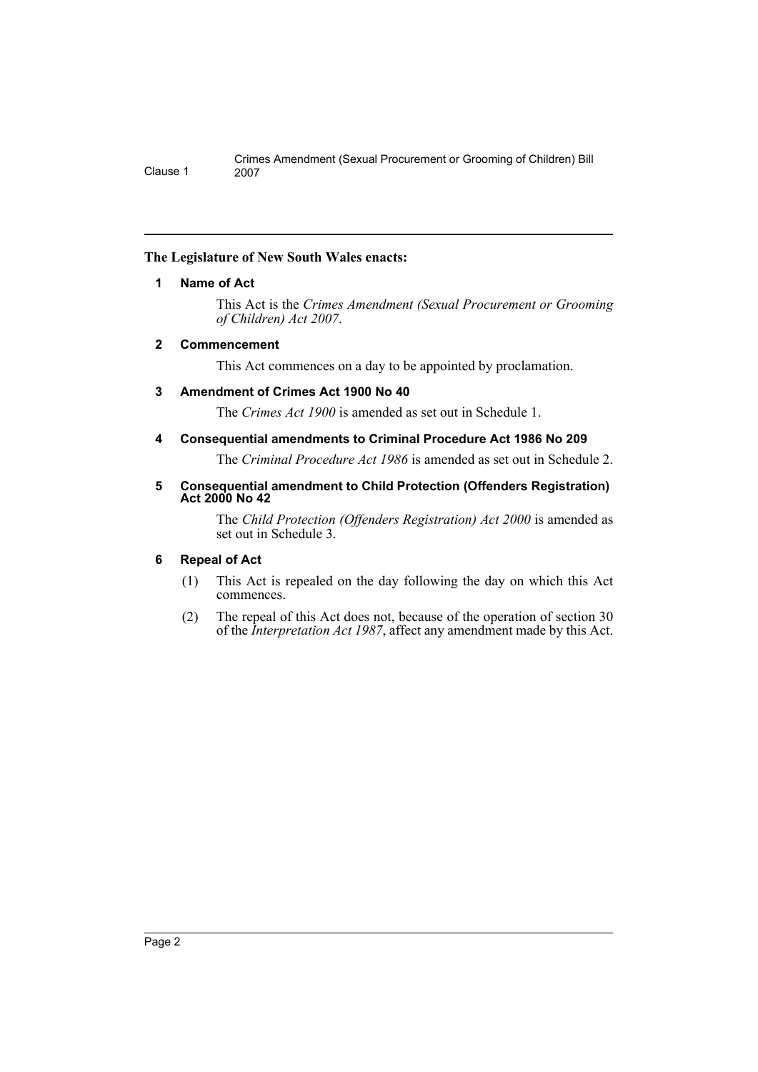#### <span id="page-2-0"></span>**The Legislature of New South Wales enacts:**

#### **1 Name of Act**

This Act is the *Crimes Amendment (Sexual Procurement or Grooming of Children) Act 2007*.

#### <span id="page-2-1"></span>**2 Commencement**

This Act commences on a day to be appointed by proclamation.

#### <span id="page-2-2"></span>**3 Amendment of Crimes Act 1900 No 40**

The *Crimes Act 1900* is amended as set out in Schedule 1.

#### <span id="page-2-3"></span>**4 Consequential amendments to Criminal Procedure Act 1986 No 209**

The *Criminal Procedure Act 1986* is amended as set out in Schedule 2.

#### <span id="page-2-4"></span>**5 Consequential amendment to Child Protection (Offenders Registration) Act 2000 No 42**

The *Child Protection (Offenders Registration) Act 2000* is amended as set out in Schedule 3.

#### <span id="page-2-5"></span>**6 Repeal of Act**

- (1) This Act is repealed on the day following the day on which this Act commences.
- (2) The repeal of this Act does not, because of the operation of section 30 of the *Interpretation Act 1987*, affect any amendment made by this Act.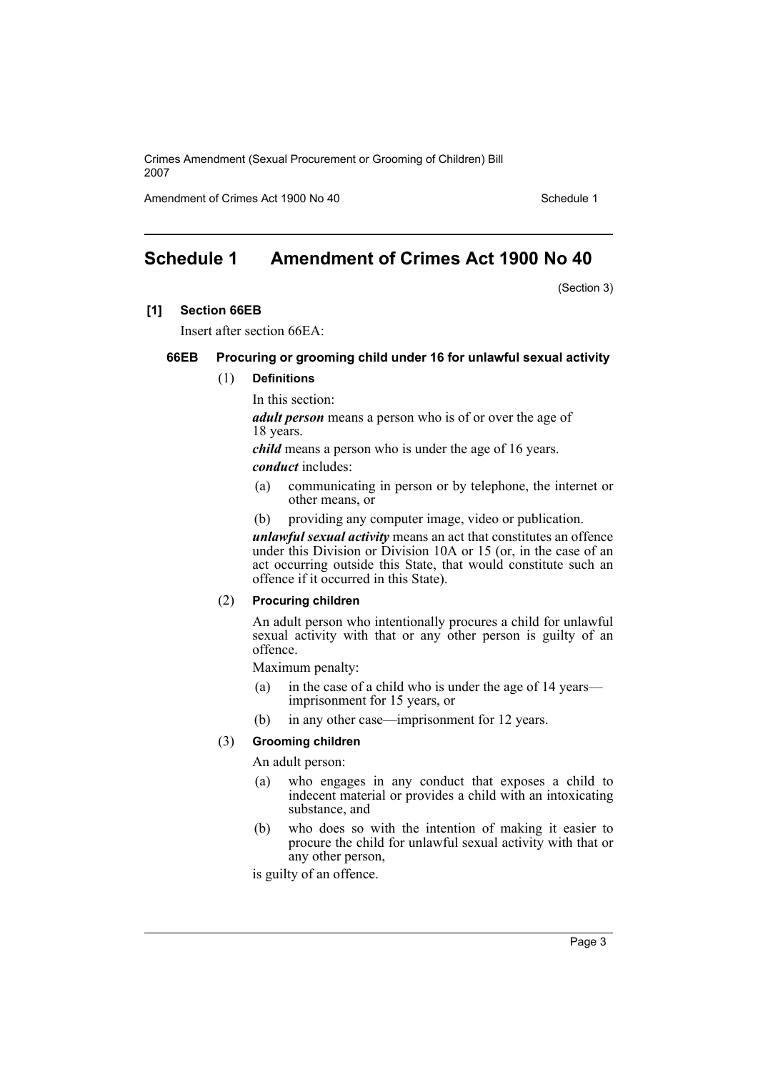Amendment of Crimes Act 1900 No 40 Schedule 1

## <span id="page-3-0"></span>**Schedule 1 Amendment of Crimes Act 1900 No 40**

(Section 3)

#### **[1] Section 66EB**

Insert after section 66EA:

#### **66EB Procuring or grooming child under 16 for unlawful sexual activity**

#### (1) **Definitions**

In this section:

*adult person* means a person who is of or over the age of 18 years.

*child* means a person who is under the age of 16 years.

*conduct* includes:

- (a) communicating in person or by telephone, the internet or other means, or
- (b) providing any computer image, video or publication.

*unlawful sexual activity* means an act that constitutes an offence under this Division or Division 10A or 15 (or, in the case of an act occurring outside this State, that would constitute such an offence if it occurred in this State).

#### (2) **Procuring children**

An adult person who intentionally procures a child for unlawful sexual activity with that or any other person is guilty of an offence.

Maximum penalty:

- (a) in the case of a child who is under the age of 14 years imprisonment for 15 years, or
- (b) in any other case—imprisonment for 12 years.

#### (3) **Grooming children**

An adult person:

- (a) who engages in any conduct that exposes a child to indecent material or provides a child with an intoxicating substance, and
- (b) who does so with the intention of making it easier to procure the child for unlawful sexual activity with that or any other person,

is guilty of an offence.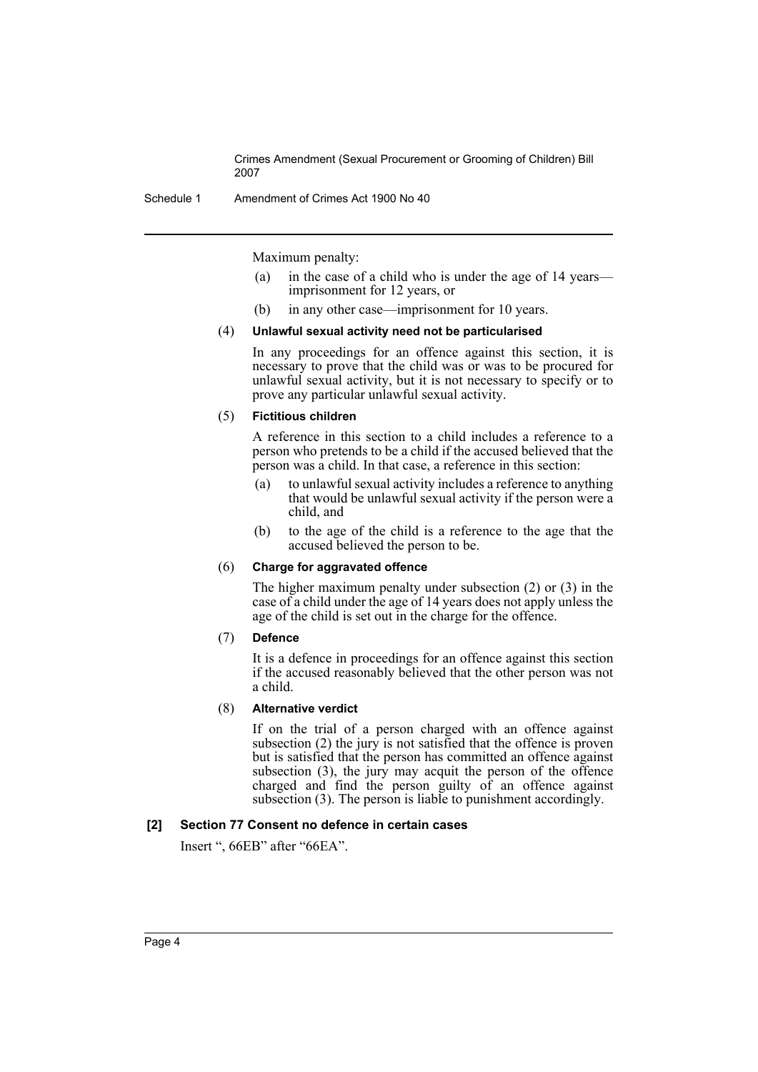Schedule 1 Amendment of Crimes Act 1900 No 40

Maximum penalty:

- (a) in the case of a child who is under the age of 14 years imprisonment for 12 years, or
- (b) in any other case—imprisonment for 10 years.

#### (4) **Unlawful sexual activity need not be particularised**

In any proceedings for an offence against this section, it is necessary to prove that the child was or was to be procured for unlawful sexual activity, but it is not necessary to specify or to prove any particular unlawful sexual activity.

#### (5) **Fictitious children**

A reference in this section to a child includes a reference to a person who pretends to be a child if the accused believed that the person was a child. In that case, a reference in this section:

- (a) to unlawful sexual activity includes a reference to anything that would be unlawful sexual activity if the person were a child, and
- (b) to the age of the child is a reference to the age that the accused believed the person to be.

#### (6) **Charge for aggravated offence**

The higher maximum penalty under subsection (2) or (3) in the case of a child under the age of 14 years does not apply unless the age of the child is set out in the charge for the offence.

(7) **Defence** 

It is a defence in proceedings for an offence against this section if the accused reasonably believed that the other person was not a child.

#### (8) **Alternative verdict**

If on the trial of a person charged with an offence against subsection  $(2)$  the jury is not satisfied that the offence is proven but is satisfied that the person has committed an offence against subsection (3), the jury may acquit the person of the offence charged and find the person guilty of an offence against subsection (3). The person is liable to punishment accordingly.

#### **[2] Section 77 Consent no defence in certain cases**

Insert ", 66EB" after "66EA".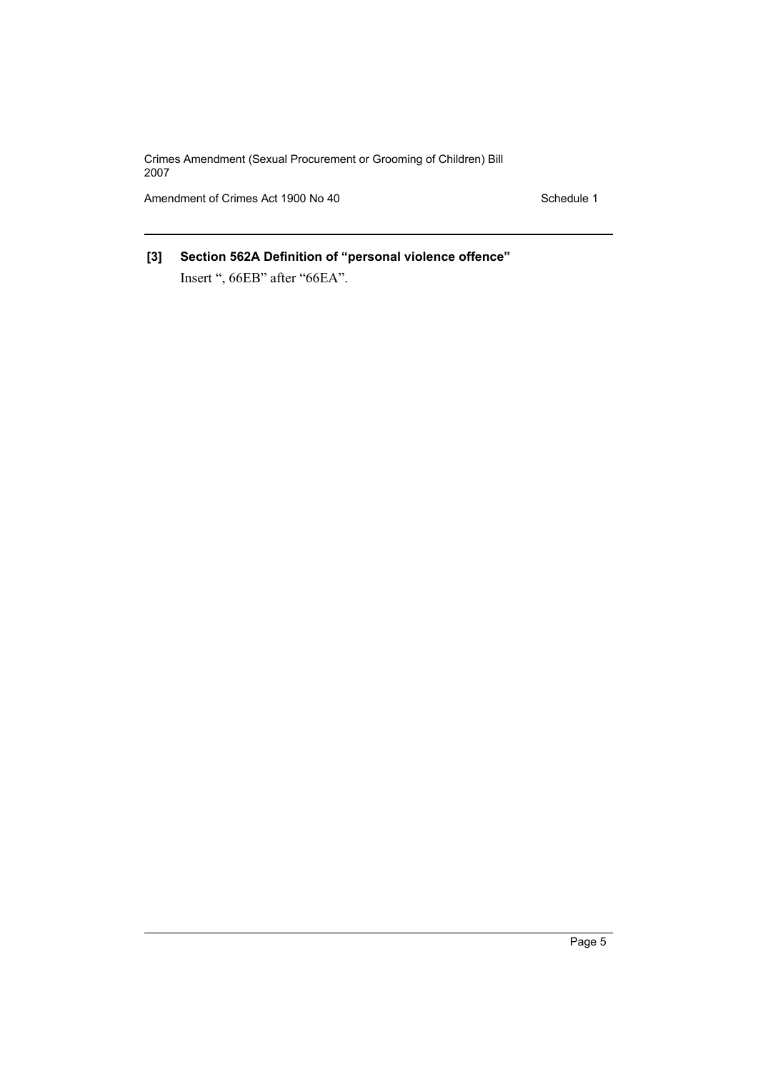Amendment of Crimes Act 1900 No 40 Schedule 1

## **[3] Section 562A Definition of "personal violence offence"** Insert ", 66EB" after "66EA".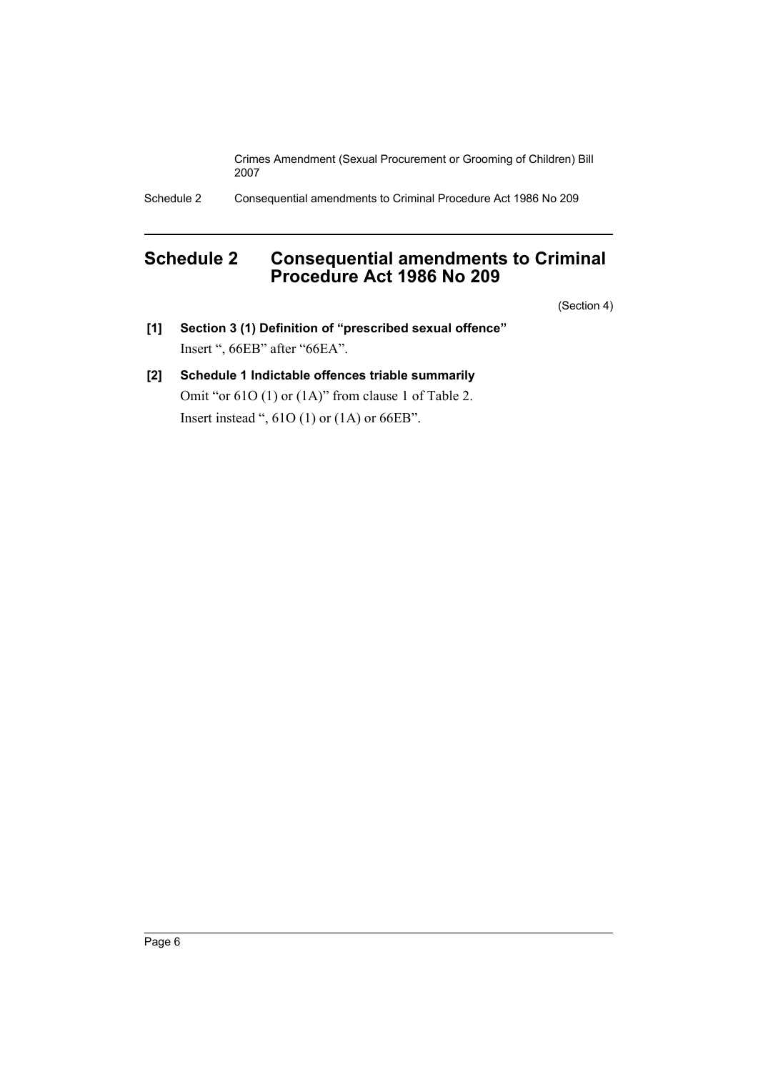Schedule 2 Consequential amendments to Criminal Procedure Act 1986 No 209

## <span id="page-6-0"></span>**Schedule 2 Consequential amendments to Criminal Procedure Act 1986 No 209**

(Section 4)

- **[1] Section 3 (1) Definition of "prescribed sexual offence"** Insert ", 66EB" after "66EA".
- **[2] Schedule 1 Indictable offences triable summarily** Omit "or 61O (1) or (1A)" from clause 1 of Table 2. Insert instead ", 61O (1) or (1A) or 66EB".